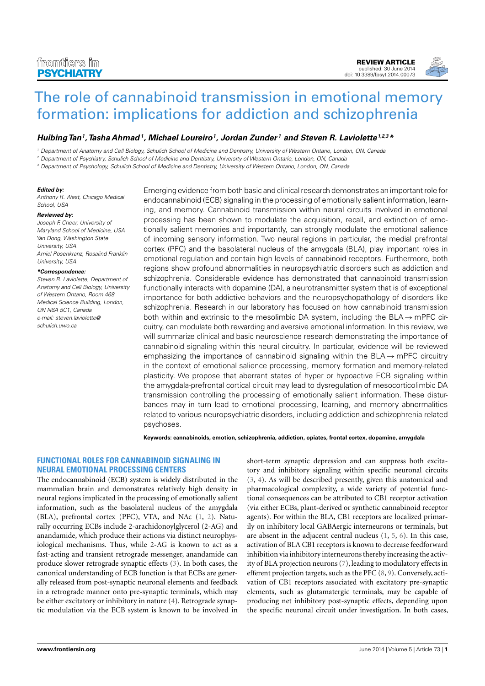[REVIEW ARTICLE](http://www.frontiersin.org/Psychiatry/editorialboard) [published: 30 June 2014](http://www.frontiersin.org/Psychiatry/editorialboard) [doi: 10.3389/fpsyt.2014.00073](http://www.frontiersin.org/Psychiatry/editorialboard)



# [The role of cannabinoid transmission in emotional memory](http://www.frontiersin.org/Journal/10.3389/fpsyt.2014.00073/abstract) [formation: implications for addiction and schizophrenia](http://www.frontiersin.org/Journal/10.3389/fpsyt.2014.00073/abstract)

## **Huibing Tan<sup>1</sup> ,Tasha Ahmad<sup>1</sup> , [Michael Loureiro](http://www.frontiersin.org/people/u/158336)<sup>1</sup> , [Jordan Zunder](http://www.frontiersin.org/people/u/158343) <sup>1</sup> and [Steven R. Laviolette](http://www.frontiersin.org/people/u/30333)1,2,3\***

<sup>1</sup> Department of Anatomy and Cell Biology, Schulich School of Medicine and Dentistry, University of Western Ontario, London, ON, Canada

<sup>2</sup> Department of Psychiatry, Schulich School of Medicine and Dentistry, University of Western Ontario, London, ON, Canada

<sup>3</sup> Department of Psychology, Schulich School of Medicine and Dentistry, University of Western Ontario, London, ON, Canada

#### **Edited by:**

Anthony R. West, Chicago Medical School, USA

#### **Reviewed by:**

Joseph F. Cheer, University of Maryland School of Medicine, USA Yan Dong, Washington State University, USA Amiel Rosenkranz, Rosalind Franklin University, USA

#### **\*Correspondence:**

Steven R. Laviolette, Department of Anatomy and Cell Biology, University of Western Ontario, Room 468 Medical Science Building, London, ON N6A 5C1, Canada [e-mail: steven.laviolette@](mailto:steven.laviolette@schulich.uwo.ca) schulich.uwo.ca

Emerging evidence from both basic and clinical research demonstrates an important role for endocannabinoid (ECB) signaling in the processing of emotionally salient information, learning, and memory. Cannabinoid transmission within neural circuits involved in emotional processing has been shown to modulate the acquisition, recall, and extinction of emotionally salient memories and importantly, can strongly modulate the emotional salience of incoming sensory information. Two neural regions in particular, the medial prefrontal cortex (PFC) and the basolateral nucleus of the amygdala (BLA), play important roles in emotional regulation and contain high levels of cannabinoid receptors. Furthermore, both regions show profound abnormalities in neuropsychiatric disorders such as addiction and schizophrenia. Considerable evidence has demonstrated that cannabinoid transmission functionally interacts with dopamine (DA), a neurotransmitter system that is of exceptional importance for both addictive behaviors and the neuropsychopathology of disorders like schizophrenia. Research in our laboratory has focused on how cannabinoid transmission both within and extrinsic to the mesolimbic DA system, including the  $BLA \rightarrow mPFC$  circuitry, can modulate both rewarding and aversive emotional information. In this review, we will summarize clinical and basic neuroscience research demonstrating the importance of cannabinoid signaling within this neural circuitry. In particular, evidence will be reviewed emphasizing the importance of cannabinoid signaling within the  $BLA \rightarrow mPFC$  circuitry in the context of emotional salience processing, memory formation and memory-related plasticity. We propose that aberrant states of hyper or hypoactive ECB signaling within the amygdala-prefrontal cortical circuit may lead to dysregulation of mesocorticolimbic DA transmission controlling the processing of emotionally salient information. These disturbances may in turn lead to emotional processing, learning, and memory abnormalities related to various neuropsychiatric disorders, including addiction and schizophrenia-related psychoses.

**Keywords: cannabinoids, emotion, schizophrenia, addiction, opiates, frontal cortex, dopamine, amygdala**

## **FUNCTIONAL ROLES FOR CANNABINOID SIGNALING IN NEURAL EMOTIONAL PROCESSING CENTERS**

The endocannabinoid (ECB) system is widely distributed in the mammalian brain and demonstrates relatively high density in neural regions implicated in the processing of emotionally salient information, such as the basolateral nucleus of the amygdala (BLA), prefrontal cortex (PFC), VTA, and NAc [\(1,](#page-8-0) [2\)](#page-8-1). Naturally occurring ECBs include 2-arachidonoylglycerol (2-AG) and anandamide, which produce their actions via distinct neurophysiological mechanisms. Thus, while 2-AG is known to act as a fast-acting and transient retrograde messenger, anandamide can produce slower retrograde synaptic effects [\(3\)](#page-8-2). In both cases, the canonical understanding of ECB function is that ECBs are generally released from post-synaptic neuronal elements and feedback in a retrograde manner onto pre-synaptic terminals, which may be either excitatory or inhibitory in nature [\(4\)](#page-8-3). Retrograde synaptic modulation via the ECB system is known to be involved in

short-term synaptic depression and can suppress both excitatory and inhibitory signaling within specific neuronal circuits [\(3,](#page-8-2) [4\)](#page-8-3). As will be described presently, given this anatomical and pharmacological complexity, a wide variety of potential functional consequences can be attributed to CB1 receptor activation (via either ECBs, plant-derived or synthetic cannabinoid receptor agents). For within the BLA, CB1 receptors are localized primarily on inhibitory local GABAergic interneurons or terminals, but are absent in the adjacent central nucleus [\(1,](#page-8-0) [5,](#page-8-4) [6\)](#page-8-5). In this case, activation of BLA CB1 receptors is known to decrease feedforward inhibition via inhibitory interneurons thereby increasing the activity of BLA projection neurons [\(7\)](#page-8-6), leading to modulatory effects in efferent projection targets, such as the PFC [\(8,](#page-8-7) [9\)](#page-8-8). Conversely, activation of CB1 receptors associated with excitatory pre-synaptic elements, such as glutamatergic terminals, may be capable of producing net inhibitory post-synaptic effects, depending upon the specific neuronal circuit under investigation. In both cases,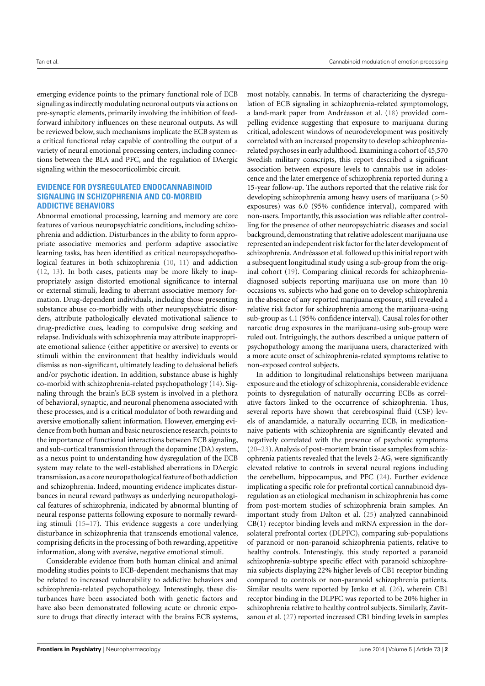emerging evidence points to the primary functional role of ECB signaling as indirectly modulating neuronal outputs via actions on pre-synaptic elements, primarily involving the inhibition of feedforward inhibitory influences on these neuronal outputs. As will be reviewed below, such mechanisms implicate the ECB system as a critical functional relay capable of controlling the output of a variety of neural emotional processing centers, including connections between the BLA and PFC, and the regulation of DAergic signaling within the mesocorticolimbic circuit.

#### **EVIDENCE FOR DYSREGULATED ENDOCANNABINOID SIGNALING IN SCHIZOPHRENIA AND CO-MORBID ADDICTIVE BEHAVIORS**

Abnormal emotional processing, learning and memory are core features of various neuropsychiatric conditions, including schizophrenia and addiction. Disturbances in the ability to form appropriate associative memories and perform adaptive associative learning tasks, has been identified as critical neuropsychopathological features in both schizophrenia [\(10,](#page-8-9) [11\)](#page-8-10) and addiction [\(12,](#page-8-11) [13\)](#page-8-12). In both cases, patients may be more likely to inappropriately assign distorted emotional significance to internal or external stimuli, leading to aberrant associative memory formation. Drug-dependent individuals, including those presenting substance abuse co-morbidly with other neuropsychiatric disorders, attribute pathologically elevated motivational salience to drug-predictive cues, leading to compulsive drug seeking and relapse. Individuals with schizophrenia may attribute inappropriate emotional salience (either appetitive or aversive) to events or stimuli within the environment that healthy individuals would dismiss as non-significant, ultimately leading to delusional beliefs and/or psychotic ideation. In addition, substance abuse is highly co-morbid with schizophrenia-related psychopathology [\(14\)](#page-8-13). Signaling through the brain's ECB system is involved in a plethora of behavioral, synaptic, and neuronal phenomena associated with these processes, and is a critical modulator of both rewarding and aversive emotionally salient information. However, emerging evidence from both human and basic neuroscience research, points to the importance of functional interactions between ECB signaling, and sub-cortical transmission through the dopamine (DA) system, as a nexus point to understanding how dysregulation of the ECB system may relate to the well-established aberrations in DAergic transmission, as a core neuropathological feature of both addiction and schizophrenia. Indeed, mounting evidence implicates disturbances in neural reward pathways as underlying neuropathological features of schizophrenia, indicated by abnormal blunting of neural response patterns following exposure to normally rewarding stimuli [\(15–](#page-8-14)[17\)](#page-8-15). This evidence suggests a core underlying disturbance in schizophrenia that transcends emotional valence, comprising deficits in the processing of both rewarding, appetitive information, along with aversive, negative emotional stimuli.

Considerable evidence from both human clinical and animal modeling studies points to ECB-dependent mechanisms that may be related to increased vulnerability to addictive behaviors and schizophrenia-related psychopathology. Interestingly, these disturbances have been associated both with genetic factors and have also been demonstrated following acute or chronic exposure to drugs that directly interact with the brains ECB systems,

most notably, cannabis. In terms of characterizing the dysregulation of ECB signaling in schizophrenia-related symptomology, a land-mark paper from Andréasson et al. [\(18\)](#page-8-16) provided compelling evidence suggesting that exposure to marijuana during critical, adolescent windows of neurodevelopment was positively correlated with an increased propensity to develop schizophreniarelated psychoses in early adulthood. Examining a cohort of 45,570 Swedish military conscripts, this report described a significant association between exposure levels to cannabis use in adolescence and the later emergence of schizophrenia reported during a 15-year follow-up. The authors reported that the relative risk for developing schizophrenia among heavy users of marijuana (>50 exposures) was 6.0 (95% confidence interval), compared with non-users. Importantly, this association was reliable after controlling for the presence of other neuropsychiatric diseases and social background, demonstrating that relative adolescent marijuana use represented an independent risk factor for the later development of schizophrenia. Andréasson et al. followed up this initial report with a subsequent longitudinal study using a sub-group from the original cohort [\(19\)](#page-9-0). Comparing clinical records for schizophreniadiagnosed subjects reporting marijuana use on more than 10 occasions vs. subjects who had gone on to develop schizophrenia in the absence of any reported marijuana exposure, still revealed a relative risk factor for schizophrenia among the marijuana-using sub-group as 4.1 (95% confidence interval). Causal roles for other narcotic drug exposures in the marijuana-using sub-group were ruled out. Intriguingly, the authors described a unique pattern of psychopathology among the marijuana users, characterized with a more acute onset of schizophrenia-related symptoms relative to non-exposed control subjects.

In addition to longitudinal relationships between marijuana exposure and the etiology of schizophrenia, considerable evidence points to dysregulation of naturally occurring ECBs as correlative factors linked to the occurrence of schizophrenia. Thus, several reports have shown that cerebrospinal fluid (CSF) levels of anandamide, a naturally occurring ECB, in medicationnaive patients with schizophrenia are significantly elevated and negatively correlated with the presence of psychotic symptoms [\(20–](#page-9-1)[23\)](#page-9-2). Analysis of post-mortem brain tissue samples from schizophrenia patients revealed that the levels 2-AG, were significantly elevated relative to controls in several neural regions including the cerebellum, hippocampus, and PFC [\(24\)](#page-9-3). Further evidence implicating a specific role for prefrontal cortical cannabinoid dysregulation as an etiological mechanism in schizophrenia has come from post-mortem studies of schizophrenia brain samples. An important study from Dalton et al. [\(25\)](#page-9-4) analyzed cannabinoid CB(1) receptor binding levels and mRNA expression in the dorsolateral prefrontal cortex (DLPFC), comparing sub-populations of paranoid or non-paranoid schizophrenia patients, relative to healthy controls. Interestingly, this study reported a paranoid schizophrenia-subtype specific effect with paranoid schizophrenia subjects displaying 22% higher levels of CB1 receptor binding compared to controls or non-paranoid schizophrenia patients. Similar results were reported by Jenko et al. [\(26\)](#page-9-5), wherein CB1 receptor binding in the DLPFC was reported to be 20% higher in schizophrenia relative to healthy control subjects. Similarly, Zavitsanou et al. [\(27\)](#page-9-6) reported increased CB1 binding levels in samples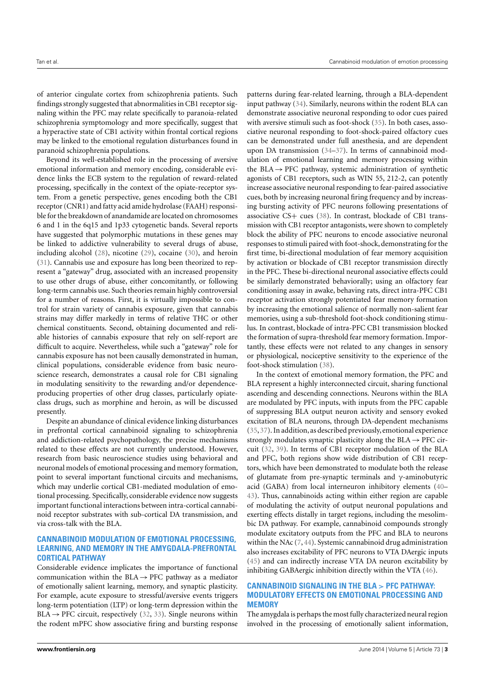of anterior cingulate cortex from schizophrenia patients. Such findings strongly suggested that abnormalities in CB1 receptor signaling within the PFC may relate specifically to paranoia-related schizophrenia symptomology and more specifically, suggest that a hyperactive state of CB1 activity within frontal cortical regions may be linked to the emotional regulation disturbances found in paranoid schizophrenia populations.

Beyond its well-established role in the processing of aversive emotional information and memory encoding, considerable evidence links the ECB system to the regulation of reward-related processing, specifically in the context of the opiate-receptor system. From a genetic perspective, genes encoding both the CB1 receptor (CNR1) and fatty acid amide hydrolase (FAAH) responsible for the breakdown of anandamide are located on chromosomes 6 and 1 in the 6q15 and 1p33 cytogenetic bands. Several reports have suggested that polymorphic mutations in these genes may be linked to addictive vulnerability to several drugs of abuse, including alcohol [\(28\)](#page-9-7), nicotine [\(29\)](#page-9-8), cocaine [\(30\)](#page-9-9), and heroin [\(31\)](#page-9-10). Cannabis use and exposure has long been theorized to represent a "gateway" drug, associated with an increased propensity to use other drugs of abuse, either concomitantly, or following long-term cannabis use. Such theories remain highly controversial for a number of reasons. First, it is virtually impossible to control for strain variety of cannabis exposure, given that cannabis strains may differ markedly in terms of relative THC or other chemical constituents. Second, obtaining documented and reliable histories of cannabis exposure that rely on self-report are difficult to acquire. Nevertheless, while such a "gateway" role for cannabis exposure has not been causally demonstrated in human, clinical populations, considerable evidence from basic neuroscience research, demonstrates a causal role for CB1 signaling in modulating sensitivity to the rewarding and/or dependenceproducing properties of other drug classes, particularly opiateclass drugs, such as morphine and heroin, as will be discussed presently.

Despite an abundance of clinical evidence linking disturbances in prefrontal cortical cannabinoid signaling to schizophrenia and addiction-related psychopathology, the precise mechanisms related to these effects are not currently understood. However, research from basic neuroscience studies using behavioral and neuronal models of emotional processing and memory formation, point to several important functional circuits and mechanisms, which may underlie cortical CB1-mediated modulation of emotional processing. Specifically, considerable evidence now suggests important functional interactions between intra-cortical cannabinoid receptor substrates with sub-cortical DA transmission, and via cross-talk with the BLA.

### **CANNABINOID MODULATION OF EMOTIONAL PROCESSING, LEARNING, AND MEMORY IN THE AMYGDALA-PREFRONTAL CORTICAL PATHWAY**

Considerable evidence implicates the importance of functional communication within the  $BLA \rightarrow PFC$  pathway as a mediator of emotionally salient learning, memory, and synaptic plasticity. For example, acute exposure to stressful/aversive events triggers long-term potentiation (LTP) or long-term depression within the  $BLA \rightarrow PFC$  circuit, respectively [\(32,](#page-9-11) [33\)](#page-9-12). Single neurons within the rodent mPFC show associative firing and bursting response

patterns during fear-related learning, through a BLA-dependent input pathway [\(34\)](#page-9-13). Similarly, neurons within the rodent BLA can demonstrate associative neuronal responding to odor cues paired with aversive stimuli such as foot-shock [\(35\)](#page-9-14). In both cases, associative neuronal responding to foot-shock-paired olfactory cues can be demonstrated under full anesthesia, and are dependent upon DA transmission [\(34](#page-9-13)[–37\)](#page-9-15). In terms of cannabinoid modulation of emotional learning and memory processing within the BLA  $\rightarrow$  PFC pathway, systemic administration of synthetic agonists of CB1 receptors, such as WIN 55, 212-2, can potently increase associative neuronal responding to fear-paired associative cues, both by increasing neuronal firing frequency and by increasing bursting activity of PFC neurons following presentations of associative CS+ cues [\(38\)](#page-9-16). In contrast, blockade of CB1 transmission with CB1 receptor antagonists, were shown to completely block the ability of PFC neurons to encode associative neuronal responses to stimuli paired with foot-shock, demonstrating for the first time, bi-directional modulation of fear memory acquisition by activation or blockade of CB1 receptor transmission directly in the PFC. These bi-directional neuronal associative effects could be similarly demonstrated behaviorally; using an olfactory fear conditioning assay in awake, behaving rats, direct intra-PFC CB1 receptor activation strongly potentiated fear memory formation by increasing the emotional salience of normally non-salient fear memories, using a sub-threshold foot-shock conditioning stimulus. In contrast, blockade of intra-PFC CB1 transmission blocked the formation of supra-threshold fear memory formation. Importantly, these effects were not related to any changes in sensory or physiological, nociceptive sensitivity to the experience of the foot-shock stimulation [\(38\)](#page-9-16).

In the context of emotional memory formation, the PFC and BLA represent a highly interconnected circuit, sharing functional ascending and descending connections. Neurons within the BLA are modulated by PFC inputs, with inputs from the PFC capable of suppressing BLA output neuron activity and sensory evoked excitation of BLA neurons, through DA-dependent mechanisms [\(35,](#page-9-14)[37\)](#page-9-15). In addition, as described previously, emotional experience strongly modulates synaptic plasticity along the  $BLA \rightarrow PFC$  circuit [\(32,](#page-9-11) [39\)](#page-9-17). In terms of CB1 receptor modulation of the BLA and PFC, both regions show wide distribution of CB1 receptors, which have been demonstrated to modulate both the release of glutamate from pre-synaptic terminals and γ-aminobutyric acid (GABA) from local interneuron inhibitory elements [\(40–](#page-9-18) [43\)](#page-9-19). Thus, cannabinoids acting within either region are capable of modulating the activity of output neuronal populations and exerting effects distally in target regions, including the mesolimbic DA pathway. For example, cannabinoid compounds strongly modulate excitatory outputs from the PFC and BLA to neurons within the NAc [\(7,](#page-8-6) [44\)](#page-9-20). Systemic cannabinoid drug administration also increases excitability of PFC neurons to VTA DAergic inputs [\(45\)](#page-9-21) and can indirectly increase VTA DA neuron excitability by inhibiting GABAergic inhibition directly within the VTA [\(46\)](#page-9-22).

## **CANNABINOID SIGNALING IN THE BLA** > **PFC PATHWAY: MODULATORY EFFECTS ON EMOTIONAL PROCESSING AND MEMORY**

The amygdala is perhaps the most fully characterized neural region involved in the processing of emotionally salient information,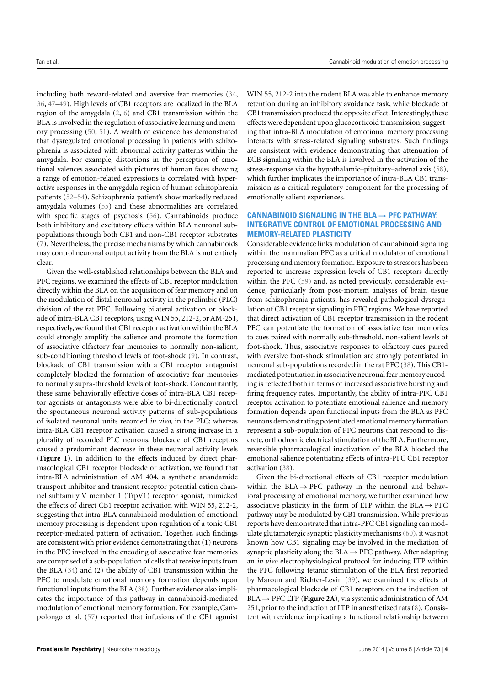including both reward-related and aversive fear memories [\(34,](#page-9-13) [36,](#page-9-23) [47–](#page-9-24)[49\)](#page-9-25). High levels of CB1 receptors are localized in the BLA region of the amygdala [\(2,](#page-8-1) [6\)](#page-8-5) and CB1 transmission within the BLA is involved in the regulation of associative learning and memory processing [\(50,](#page-9-26) [51\)](#page-9-27). A wealth of evidence has demonstrated that dysregulated emotional processing in patients with schizophrenia is associated with abnormal activity patterns within the amygdala. For example, distortions in the perception of emotional valences associated with pictures of human faces showing a range of emotion-related expressions is correlated with hyperactive responses in the amygdala region of human schizophrenia patients [\(52](#page-9-28)[–54\)](#page-9-29). Schizophrenia patient's show markedly reduced amygdala volumes [\(55\)](#page-9-30) and these abnormalities are correlated with specific stages of psychosis [\(56\)](#page-9-31). Cannabinoids produce both inhibitory and excitatory effects within BLA neuronal subpopulations through both CB1 and non-CB1 receptor substrates [\(7\)](#page-8-6). Nevertheless, the precise mechanisms by which cannabinoids may control neuronal output activity from the BLA is not entirely clear.

Given the well-established relationships between the BLA and PFC regions, we examined the effects of CB1 receptor modulation directly within the BLA on the acquisition of fear memory and on the modulation of distal neuronal activity in the prelimbic (PLC) division of the rat PFC. Following bilateral activation or blockade of intra-BLA CB1 receptors, using WIN 55, 212-2, or AM-251, respectively, we found that CB1 receptor activation within the BLA could strongly amplify the salience and promote the formation of associative olfactory fear memories to normally non-salient, sub-conditioning threshold levels of foot-shock [\(9\)](#page-8-8). In contrast, blockade of CB1 transmission with a CB1 receptor antagonist completely blocked the formation of associative fear memories to normally supra-threshold levels of foot-shock. Concomitantly, these same behaviorally effective doses of intra-BLA CB1 receptor agonists or antagonists were able to bi-directionally control the spontaneous neuronal activity patterns of sub-populations of isolated neuronal units recorded *in vivo*, in the PLC; whereas intra-BLA CB1 receptor activation caused a strong increase in a plurality of recorded PLC neurons, blockade of CB1 receptors caused a predominant decrease in these neuronal activity levels (**[Figure 1](#page-4-0)**). In addition to the effects induced by direct pharmacological CB1 receptor blockade or activation, we found that intra-BLA administration of AM 404, a synthetic anandamide transport inhibitor and transient receptor potential cation channel subfamily V member 1 (TrpV1) receptor agonist, mimicked the effects of direct CB1 receptor activation with WIN 55, 212-2, suggesting that intra-BLA cannabinoid modulation of emotional memory processing is dependent upon regulation of a tonic CB1 receptor-mediated pattern of activation. Together, such findings are consistent with prior evidence demonstrating that (1) neurons in the PFC involved in the encoding of associative fear memories are comprised of a sub-population of cells that receive inputs from the BLA [\(34\)](#page-9-13) and (2) the ability of CB1 transmission within the PFC to modulate emotional memory formation depends upon functional inputs from the BLA [\(38\)](#page-9-16). Further evidence also implicates the importance of this pathway in cannabinoid-mediated modulation of emotional memory formation. For example, Campolongo et al. [\(57\)](#page-10-0) reported that infusions of the CB1 agonist

WIN 55, 212-2 into the rodent BLA was able to enhance memory retention during an inhibitory avoidance task, while blockade of CB1 transmission produced the opposite effect. Interestingly, these effects were dependent upon glucocorticoid transmission, suggesting that intra-BLA modulation of emotional memory processing interacts with stress-related signaling substrates. Such findings are consistent with evidence demonstrating that attenuation of ECB signaling within the BLA is involved in the activation of the stress-response via the hypothalamic–pituitary–adrenal axis [\(58\)](#page-10-1), which further implicates the importance of intra-BLA CB1 transmission as a critical regulatory component for the processing of emotionally salient experiences.

## **CANNABINOID SIGNALING IN THE BLA**→**PFC PATHWAY: INTEGRATIVE CONTROL OF EMOTIONAL PROCESSING AND MEMORY-RELATED PLASTICITY**

Considerable evidence links modulation of cannabinoid signaling within the mammalian PFC as a critical modulator of emotional processing and memory formation. Exposure to stressors has been reported to increase expression levels of CB1 receptors directly within the PFC [\(59\)](#page-10-2) and, as noted previously, considerable evidence, particularly from post-mortem analyses of brain tissue from schizophrenia patients, has revealed pathological dysregulation of CB1 receptor signaling in PFC regions. We have reported that direct activation of CB1 receptor transmission in the rodent PFC can potentiate the formation of associative fear memories to cues paired with normally sub-threshold, non-salient levels of foot-shock. Thus, associative responses to olfactory cues paired with aversive foot-shock stimulation are strongly potentiated in neuronal sub-populations recorded in the rat PFC [\(38\)](#page-9-16). This CB1 mediated potentiation in associative neuronal fear memory encoding is reflected both in terms of increased associative bursting and firing frequency rates. Importantly, the ability of intra-PFC CB1 receptor activation to potentiate emotional salience and memory formation depends upon functional inputs from the BLA as PFC neurons demonstrating potentiated emotional memoryformation represent a sub-population of PFC neurons that respond to discrete, orthodromic electrical stimulation of the BLA. Furthermore, reversible pharmacological inactivation of the BLA blocked the emotional salience potentiating effects of intra-PFC CB1 receptor activation [\(38\)](#page-9-16).

Given the bi-directional effects of CB1 receptor modulation within the  $BLA \rightarrow PFC$  pathway in the neuronal and behavioral processing of emotional memory, we further examined how associative plasticity in the form of LTP within the  $BLA \rightarrow PFC$ pathway may be modulated by CB1 transmission. While previous reports have demonstrated that intra-PFC CB1 signaling can modulate glutamatergic synaptic plasticity mechanisms [\(60\)](#page-10-3), it was not known how CB1 signaling may be involved in the mediation of synaptic plasticity along the  $BLA \rightarrow PFC$  pathway. After adapting an *in vivo* electrophysiological protocol for inducing LTP within the PFC following tetanic stimulation of the BLA first reported by Maroun and Richter-Levin [\(39\)](#page-9-17), we examined the effects of pharmacological blockade of CB1 receptors on the induction of  $BLA \rightarrow PFC LTP$  (**[Figure 2A](#page-5-0)**), via systemic administration of AM 251, prior to the induction of LTP in anesthetized rats [\(8\)](#page-8-7). Consistent with evidence implicating a functional relationship between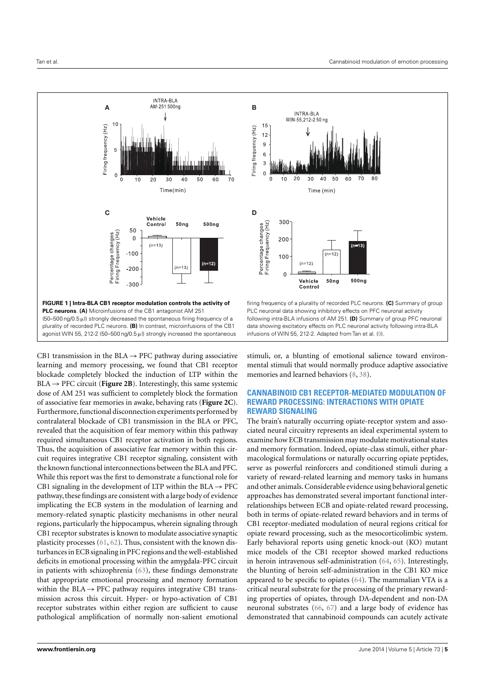

<span id="page-4-0"></span>CB1 transmission in the  $BLA \rightarrow PFC$  pathway during associative learning and memory processing, we found that CB1 receptor blockade completely blocked the induction of LTP within the  $BLA \rightarrow PFC$  circuit (**[Figure 2B](#page-5-0)**). Interestingly, this same systemic dose of AM 251 was sufficient to completely block the formation of associative fear memories in awake, behaving rats (**[Figure 2C](#page-5-0)**). Furthermore, functional disconnection experiments performed by contralateral blockade of CB1 transmission in the BLA or PFC, revealed that the acquisition of fear memory within this pathway required simultaneous CB1 receptor activation in both regions. Thus, the acquisition of associative fear memory within this circuit requires integrative CB1 receptor signaling, consistent with the known functional interconnections between the BLA and PFC. While this report was the first to demonstrate a functional role for CB1 signaling in the development of LTP within the BLA  $\rightarrow$  PFC pathway, these findings are consistent with a large body of evidence implicating the ECB system in the modulation of learning and memory-related synaptic plasticity mechanisms in other neural regions, particularly the hippocampus, wherein signaling through CB1 receptor substrates is known to modulate associative synaptic plasticity processes [\(61,](#page-10-4) [62\)](#page-10-5). Thus, consistent with the known disturbances in ECB signaling in PFC regions and the well-established deficits in emotional processing within the amygdala-PFC circuit in patients with schizophrenia [\(63\)](#page-10-6), these findings demonstrate that appropriate emotional processing and memory formation within the  $BLA \rightarrow PFC$  pathway requires integrative CB1 transmission across this circuit. Hyper- or hypo-activation of CB1 receptor substrates within either region are sufficient to cause pathological amplification of normally non-salient emotional

Percentage changes<br>Firing Frequency (Hz) 300 200 100  $(n=12)$  $\Omega$  $500<sub>ng</sub>$ Vehicle  $50<sub>n</sub>q$ Control firing frequency of a plurality of recorded PLC neurons. **(C)** Summary of group PLC neuronal data showing inhibitory effects on PFC neuronal activity following intra-BLA infusions of AM 251. **(D)** Summary of group PFC neuronal data showing excitatory effects on PLC neuronal activity following intra-BLA infusions of WIN 55, 212-2. Adapted from Tan et al. [\(9\)](#page-8-8).

**INTRA-BLA** WIN-55,212-250 ng

Time (min)

 $15$ 

 $12$  $\overline{9}$ 

 $6\,$  $\overline{3}$  $\Omega$ 

> $10$ 20  $30$  $40$  $50$ 60

Firing frequency (Hz)

stimuli, or, a blunting of emotional salience toward environmental stimuli that would normally produce adaptive associative memories and learned behaviors [\(8,](#page-8-7) [38\)](#page-9-16).

## **CANNABINOID CB1 RECEPTOR-MEDIATED MODULATION OF REWARD PROCESSING: INTERACTIONS WITH OPIATE REWARD SIGNALING**

The brain's naturally occurring opiate-receptor system and associated neural circuitry represents an ideal experimental system to examine how ECB transmission may modulate motivational states and memory formation. Indeed, opiate-class stimuli, either pharmacological formulations or naturally occurring opiate peptides, serve as powerful reinforcers and conditioned stimuli during a variety of reward-related learning and memory tasks in humans and other animals. Considerable evidence using behavioral genetic approaches has demonstrated several important functional interrelationships between ECB and opiate-related reward processing, both in terms of opiate-related reward behaviors and in terms of CB1 receptor-mediated modulation of neural regions critical for opiate reward processing, such as the mesocorticolimbic system. Early behavioral reports using genetic knock-out (KO) mutant mice models of the CB1 receptor showed marked reductions in heroin intravenous self-administration [\(64,](#page-10-7) [65\)](#page-10-8). Interestingly, the blunting of heroin self-administration in the CB1 KO mice appeared to be specific to opiates [\(64\)](#page-10-7). The mammalian VTA is a critical neural substrate for the processing of the primary rewarding properties of opiates, through DA-dependent and non-DA neuronal substrates [\(66,](#page-10-9) [67\)](#page-10-10) and a large body of evidence has demonstrated that cannabinoid compounds can acutely activate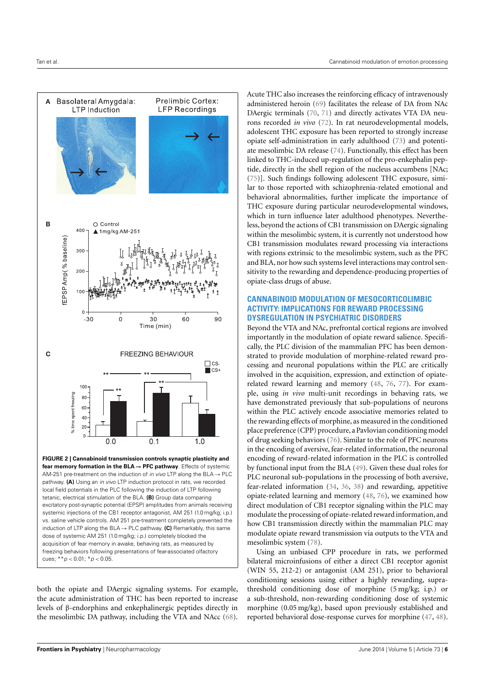

<span id="page-5-0"></span>both the opiate and DAergic signaling systems. For example, the acute administration of THC has been reported to increase levels of β-endorphins and enkephalinergic peptides directly in the mesolimbic DA pathway, including the VTA and NAcc [\(68\)](#page-10-11).

Acute THC also increases the reinforcing efficacy of intravenously administered heroin [\(69\)](#page-10-12) facilitates the release of DA from NAc DAergic terminals [\(70,](#page-10-13) [71\)](#page-10-14) and directly activates VTA DA neurons recorded *in vivo* [\(72\)](#page-10-15). In rat neurodevelopmental models, adolescent THC exposure has been reported to strongly increase opiate self-administration in early adulthood [\(73\)](#page-10-16) and potentiate mesolimbic DA release [\(74\)](#page-10-17). Functionally, this effect has been linked to THC-induced up-regulation of the pro-enkephalin peptide, directly in the shell region of the nucleus accumbens [NAc; [\(75\)](#page-10-18)]. Such findings following adolescent THC exposure, similar to those reported with schizophrenia-related emotional and behavioral abnormalities, further implicate the importance of THC exposure during particular neurodevelopmental windows, which in turn influence later adulthood phenotypes. Nevertheless, beyond the actions of CB1 transmission on DAergic signaling within the mesolimbic system, it is currently not understood how CB1 transmission modulates reward processing via interactions with regions extrinsic to the mesolimbic system, such as the PFC and BLA, nor how such systems level interactions may control sensitivity to the rewarding and dependence-producing properties of opiate-class drugs of abuse.

#### **CANNABINOID MODULATION OF MESOCORTICOLIMBIC ACTIVITY: IMPLICATIONS FOR REWARD PROCESSING DYSREGULATION IN PSYCHIATRIC DISORDERS**

Beyond the VTA and NAc, prefrontal cortical regions are involved importantly in the modulation of opiate reward salience. Specifically, the PLC division of the mammalian PFC has been demonstrated to provide modulation of morphine-related reward processing and neuronal populations within the PLC are critically involved in the acquisition, expression, and extinction of opiaterelated reward learning and memory [\(48,](#page-9-32) [76,](#page-10-19) [77\)](#page-10-20). For example, using *in vivo* multi-unit recordings in behaving rats, we have demonstrated previously that sub-populations of neurons within the PLC actively encode associative memories related to the rewarding effects of morphine, as measured in the conditioned place preference (CPP) procedure, a Pavlovian conditioning model of drug seeking behaviors [\(76\)](#page-10-19). Similar to the role of PFC neurons in the encoding of aversive, fear-related information, the neuronal encoding of reward-related information in the PLC is controlled by functional input from the BLA [\(49\)](#page-9-25). Given these dual roles for PLC neuronal sub-populations in the processing of both aversive, fear-related information [\(34,](#page-9-13) [36,](#page-9-23) [38\)](#page-9-16) and rewarding, appetitive opiate-related learning and memory [\(48,](#page-9-32) [76\)](#page-10-19), we examined how direct modulation of CB1 receptor signaling within the PLC may modulate the processing of opiate-related reward information, and how CB1 transmission directly within the mammalian PLC may modulate opiate reward transmission via outputs to the VTA and mesolimbic system [\(78\)](#page-10-21).

Using an unbiased CPP procedure in rats, we performed bilateral microinfusions of either a direct CB1 receptor agonist (WIN 55, 212-2) or antagonist (AM 251), prior to behavioral conditioning sessions using either a highly rewarding, suprathreshold conditioning dose of morphine (5 mg/kg; i.p.) or a sub-threshold, non-rewarding conditioning dose of systemic morphine (0.05 mg/kg), based upon previously established and reported behavioral dose-response curves for morphine [\(47,](#page-9-24) [48\)](#page-9-32).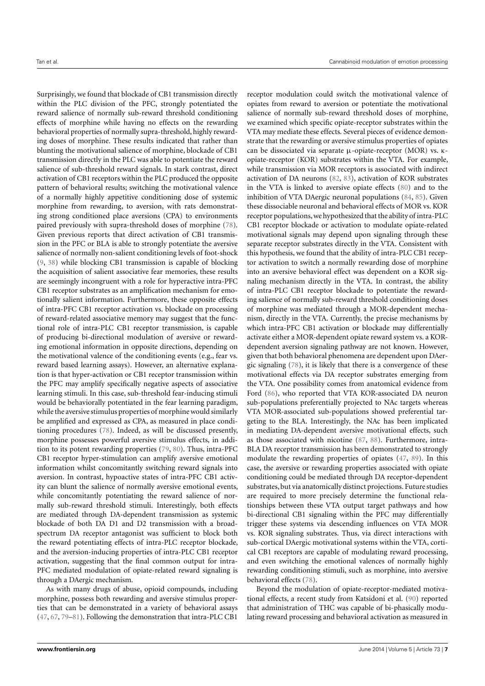Surprisingly, we found that blockade of CB1 transmission directly within the PLC division of the PFC, strongly potentiated the reward salience of normally sub-reward threshold conditioning effects of morphine while having no effects on the rewarding behavioral properties of normally supra-threshold, highly rewarding doses of morphine. These results indicated that rather than blunting the motivational salience of morphine, blockade of CB1 transmission directly in the PLC was able to potentiate the reward salience of sub-threshold reward signals. In stark contrast, direct activation of CB1 receptors within the PLC produced the opposite pattern of behavioral results; switching the motivational valence of a normally highly appetitive conditioning dose of systemic morphine from rewarding, to aversion, with rats demonstrating strong conditioned place aversions (CPA) to environments paired previously with supra-threshold doses of morphine [\(78\)](#page-10-21). Given previous reports that direct activation of CB1 transmission in the PFC or BLA is able to strongly potentiate the aversive salience of normally non-salient conditioning levels of foot-shock [\(9,](#page-8-8) [38\)](#page-9-16) while blocking CB1 transmission is capable of blocking the acquisition of salient associative fear memories, these results are seemingly incongruent with a role for hyperactive intra-PFC CB1 receptor substrates as an amplification mechanism for emotionally salient information. Furthermore, these opposite effects of intra-PFC CB1 receptor activation vs. blockade on processing of reward-related associative memory may suggest that the functional role of intra-PLC CB1 receptor transmission, is capable of producing bi-directional modulation of aversive or rewarding emotional information in opposite directions, depending on the motivational valence of the conditioning events (e.g., fear vs. reward based learning assays). However, an alternative explanation is that hyper-activation or CB1 receptor transmission within the PFC may amplify specifically negative aspects of associative learning stimuli. In this case, sub-threshold fear-inducing stimuli would be behaviorally potentiated in the fear learning paradigm, while the aversive stimulus properties of morphine would similarly be amplified and expressed as CPA, as measured in place conditioning procedures [\(78\)](#page-10-21). Indeed, as will be discussed presently, morphine possesses powerful aversive stimulus effects, in addition to its potent rewarding properties [\(79,](#page-10-22) [80\)](#page-10-23). Thus, intra-PFC CB1 receptor hyper-stimulation can amplify aversive emotional information whilst concomitantly switching reward signals into aversion. In contrast, hypoactive states of intra-PFC CB1 activity can blunt the salience of normally aversive emotional events, while concomitantly potentiating the reward salience of normally sub-reward threshold stimuli. Interestingly, both effects are mediated through DA-dependent transmission as systemic blockade of both DA D1 and D2 transmission with a broadspectrum DA receptor antagonist was sufficient to block both the reward potentiating effects of intra-PLC receptor blockade, and the aversion-inducing properties of intra-PLC CB1 receptor activation, suggesting that the final common output for intra-PFC mediated modulation of opiate-related reward signaling is through a DAergic mechanism.

As with many drugs of abuse, opioid compounds, including morphine, possess both rewarding and aversive stimulus properties that can be demonstrated in a variety of behavioral assays [\(47,](#page-9-24) [67,](#page-10-10) [79](#page-10-22)[–81\)](#page-10-24). Following the demonstration that intra-PLC CB1

receptor modulation could switch the motivational valence of opiates from reward to aversion or potentiate the motivational salience of normally sub-reward threshold doses of morphine, we examined which specific opiate-receptor substrates within the VTA may mediate these effects. Several pieces of evidence demonstrate that the rewarding or aversive stimulus properties of opiates can be dissociated via separate µ-opiate-receptor (MOR) vs. κopiate-receptor (KOR) substrates within the VTA. For example, while transmission via MOR receptors is associated with indirect activation of DA neurons [\(82,](#page-10-25) [83\)](#page-10-26), activation of KOR substrates in the VTA is linked to aversive opiate effects [\(80\)](#page-10-23) and to the inhibition of VTA DAergic neuronal populations [\(84,](#page-10-27) [85\)](#page-10-28). Given these dissociable neuronal and behavioral effects of MOR vs. KOR receptor populations,we hypothesized that the ability of intra-PLC CB1 receptor blockade or activation to modulate opiate-related motivational signals may depend upon signaling through these separate receptor substrates directly in the VTA. Consistent with this hypothesis, we found that the ability of intra-PLC CB1 receptor activation to switch a normally rewarding dose of morphine into an aversive behavioral effect was dependent on a KOR signaling mechanism directly in the VTA. In contrast, the ability of intra-PLC CB1 receptor blockade to potentiate the rewarding salience of normally sub-reward threshold conditioning doses of morphine was mediated through a MOR-dependent mechanism, directly in the VTA. Currently, the precise mechanisms by which intra-PFC CB1 activation or blockade may differentially activate either a MOR-dependent opiate reward system vs. a KORdependent aversion signaling pathway are not known. However, given that both behavioral phenomena are dependent upon DAergic signaling [\(78\)](#page-10-21), it is likely that there is a convergence of these motivational effects via DA receptor substrates emerging from the VTA. One possibility comes from anatomical evidence from Ford [\(86\)](#page-10-29), who reported that VTA KOR-associated DA neuron sub-populations preferentially projected to NAc targets whereas VTA MOR-associated sub-populations showed preferential targeting to the BLA. Interestingly, the NAc has been implicated in mediating DA-dependent aversive motivational effects, such as those associated with nicotine [\(87,](#page-10-30) [88\)](#page-10-31). Furthermore, intra-BLA DA receptor transmission has been demonstrated to strongly modulate the rewarding properties of opiates [\(47,](#page-9-24) [89\)](#page-10-32). In this case, the aversive or rewarding properties associated with opiate conditioning could be mediated through DA receptor-dependent substrates, but via anatomically distinct projections. Future studies are required to more precisely determine the functional relationships between these VTA output target pathways and how bi-directional CB1 signaling within the PFC may differentially trigger these systems via descending influences on VTA MOR vs. KOR signaling substrates. Thus, via direct interactions with sub-cortical DAergic motivational systems within the VTA, cortical CB1 receptors are capable of modulating reward processing, and even switching the emotional valences of normally highly rewarding conditioning stimuli, such as morphine, into aversive behavioral effects [\(78\)](#page-10-21).

Beyond the modulation of opiate-receptor-mediated motivational effects, a recent study from Katsidoni et al. [\(90\)](#page-10-33) reported that administration of THC was capable of bi-phasically modulating reward processing and behavioral activation as measured in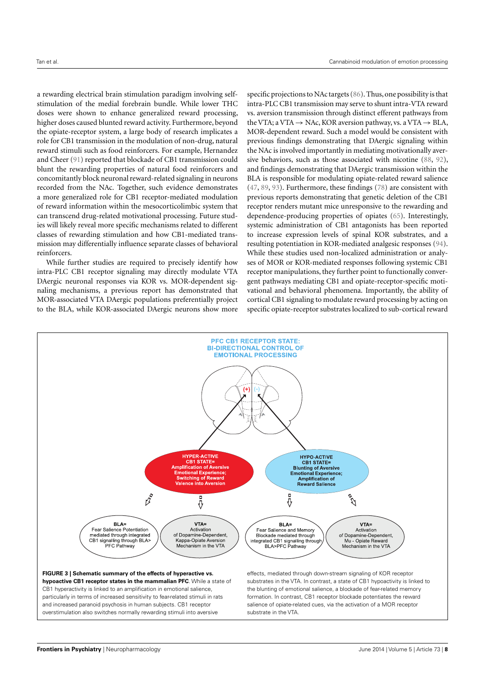a rewarding electrical brain stimulation paradigm involving selfstimulation of the medial forebrain bundle. While lower THC doses were shown to enhance generalized reward processing, higher doses caused blunted reward activity. Furthermore, beyond the opiate-receptor system, a large body of research implicates a role for CB1 transmission in the modulation of non-drug, natural reward stimuli such as food reinforcers. For example, Hernandez and Cheer [\(91\)](#page-10-34) reported that blockade of CB1 transmission could blunt the rewarding properties of natural food reinforcers and concomitantly block neuronal reward-related signaling in neurons recorded from the NAc. Together, such evidence demonstrates a more generalized role for CB1 receptor-mediated modulation of reward information within the mesocorticolimbic system that can transcend drug-related motivational processing. Future studies will likely reveal more specific mechanisms related to different classes of rewarding stimulation and how CB1-mediated transmission may differentially influence separate classes of behavioral reinforcers.

While further studies are required to precisely identify how intra-PLC CB1 receptor signaling may directly modulate VTA DAergic neuronal responses via KOR vs. MOR-dependent signaling mechanisms, a previous report has demonstrated that MOR-associated VTA DAergic populations preferentially project to the BLA, while KOR-associated DAergic neurons show more

specific projections to NAc targets [\(86\)](#page-10-29). Thus, one possibility is that intra-PLC CB1 transmission may serve to shunt intra-VTA reward vs. aversion transmission through distinct efferent pathways from the VTA; a VTA  $\rightarrow$  NAc, KOR aversion pathway, vs. a VTA  $\rightarrow$  BLA, MOR-dependent reward. Such a model would be consistent with previous findings demonstrating that DAergic signaling within the NAc is involved importantly in mediating motivationally aversive behaviors, such as those associated with nicotine [\(88,](#page-10-31) [92\)](#page-10-35), and findings demonstrating that DAergic transmission within the BLA is responsible for modulating opiate-related reward salience [\(47,](#page-9-24) [89,](#page-10-32) [93\)](#page-10-36). Furthermore, these findings [\(78\)](#page-10-21) are consistent with previous reports demonstrating that genetic deletion of the CB1 receptor renders mutant mice unresponsive to the rewarding and dependence-producing properties of opiates [\(65\)](#page-10-8). Interestingly, systemic administration of CB1 antagonists has been reported to increase expression levels of spinal KOR substrates, and a resulting potentiation in KOR-mediated analgesic responses [\(94\)](#page-10-37). While these studies used non-localized administration or analyses of MOR or KOR-mediated responses following systemic CB1 receptor manipulations, they further point to functionally convergent pathways mediating CB1 and opiate-receptor-specific motivational and behavioral phenomena. Importantly, the ability of cortical CB1 signaling to modulate reward processing by acting on specific opiate-receptor substrates localized to sub-cortical reward

<span id="page-7-0"></span>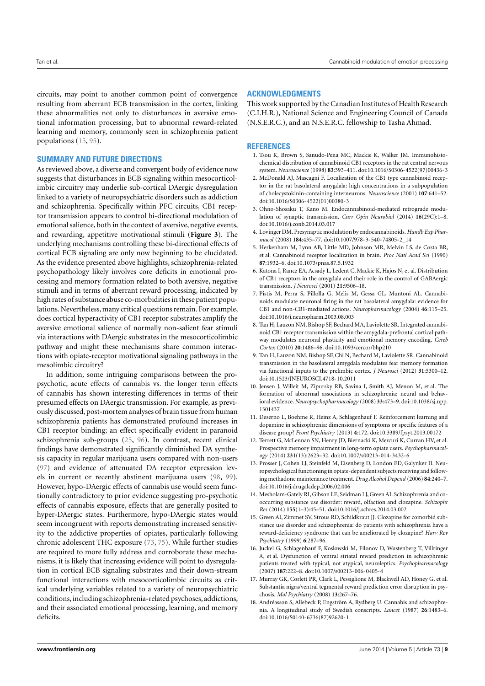circuits, may point to another common point of convergence resulting from aberrant ECB transmission in the cortex, linking these abnormalities not only to disturbances in aversive emotional information processing, but to abnormal reward-related learning and memory, commonly seen in schizophrenia patient populations [\(15,](#page-8-14) [95\)](#page-10-38).

#### **SUMMARY AND FUTURE DIRECTIONS**

As reviewed above, a diverse and convergent body of evidence now suggests that disturbances in ECB signaling within mesocorticolimbic circuitry may underlie sub-cortical DAergic dysregulation linked to a variety of neuropsychiatric disorders such as addiction and schizophrenia. Specifically within PFC circuits, CB1 receptor transmission appears to control bi-directional modulation of emotional salience, both in the context of aversive, negative events, and rewarding, appetitive motivational stimuli (**[Figure 3](#page-7-0)**). The underlying mechanisms controlling these bi-directional effects of cortical ECB signaling are only now beginning to be elucidated. As the evidence presented above highlights, schizophrenia-related psychopathology likely involves core deficits in emotional processing and memory formation related to both aversive, negative stimuli and in terms of aberrant reward processing, indicated by high rates of substance abuse co-morbidities in these patient populations. Nevertheless, many critical questions remain. For example, does cortical hyperactivity of CB1 receptor substrates amplify the aversive emotional salience of normally non-salient fear stimuli via interactions with DAergic substrates in the mesocorticolimbic pathway and might these mechanisms share common interactions with opiate-receptor motivational signaling pathways in the mesolimbic circuitry?

In addition, some intriguing comparisons between the propsychotic, acute effects of cannabis vs. the longer term effects of cannabis has shown interesting differences in terms of their presumed effects on DAergic transmission. For example, as previously discussed, post-mortem analyses of brain tissue from human schizophrenia patients has demonstrated profound increases in CB1 receptor binding; an effect specifically evident in paranoid schizophrenia sub-groups [\(25,](#page-9-4) [96\)](#page-11-0). In contrast, recent clinical findings have demonstrated significantly diminished DA synthesis capacity in regular marijuana users compared with non-users [\(97\)](#page-11-1) and evidence of attenuated DA receptor expression levels in current or recently abstinent marijuana users [\(98,](#page-11-2) [99\)](#page-11-3). However, hypo-DAergic effects of cannabis use would seem functionally contradictory to prior evidence suggesting pro-psychotic effects of cannabis exposure, effects that are generally posited to hyper-DAergic states. Furthermore, hypo-DAergic states would seem incongruent with reports demonstrating increased sensitivity to the addictive properties of opiates, particularly following chronic adolescent THC exposure [\(73,](#page-10-16) [75\)](#page-10-18). While further studies are required to more fully address and corroborate these mechanisms, it is likely that increasing evidence will point to dysregulation in cortical ECB signaling substrates and their down-stream functional interactions with mesocorticolimbic circuits as critical underlying variables related to a variety of neuropsychiatric conditions,including schizophrenia-related psychoses, addictions, and their associated emotional processing, learning, and memory deficits.

#### **ACKNOWLEDGMENTS**

This work supported by the Canadian Institutes of Health Research (C.I.H.R.), National Science and Engineering Council of Canada (N.S.E.R.C.), and an N.S.E.R.C. fellowship to Tasha Ahmad.

#### **REFERENCES**

- <span id="page-8-0"></span>1. Tsou K, Brown S, Sanudo-Pena MC, Mackie K, Walker JM. Immunohistochemical distribution of cannabinoid CB1 receptors in the rat central nervous system. *Neuroscience* (1998) **83**:393–411. doi[:10.1016/S0306-4522\(97\)00436-3](http://dx.doi.org/10.1016/S0306-4522(97)00436-3)
- <span id="page-8-1"></span>2. McDonald AJ, Mascagni F. Localization of the CB1 type cannabinoid receptor in the rat basolateral amygdala: high concentrations in a subpopulation of cholecystokinin-containing interneurons. *Neuroscience* (2001) **107**:641–52. doi[:10.1016/S0306-4522\(01\)00380-3](http://dx.doi.org/10.1016/S0306-4522(01)00380-3)
- <span id="page-8-2"></span>3. Ohno-Shosaku T, Kano M. Endocannabinoid-mediated retrograde modulation of synaptic transmission. *Curr Opin Neurobiol* (2014) **16**(29C):1–8. doi[:10.1016/j.conb.2014.03.017](http://dx.doi.org/10.1016/j.conb.2014.03.017)
- <span id="page-8-3"></span>4. Lovinger DM. Presynaptic modulation by endocannabinoids. *Handb Exp Pharmacol* (2008) **184**:435–77. doi[:10.1007/978-3-540-74805-2\\_14](http://dx.doi.org/10.1007/978-3-540-74805-2_14)
- <span id="page-8-4"></span>5. Herkenham M, Lynn AB, Little MD, Johnson MR, Melvin LS, de Costa BR, et al. Cannabinoid receptor localization in brain. *Proc Natl Acad Sci* (1990) **87**:1932–6. doi[:10.1073/pnas.87.5.1932](http://dx.doi.org/10.1073/pnas.87.5.1932)
- <span id="page-8-5"></span>6. Katona I, Rancz EA, Acsady L, Ledent C, Mackie K, Hajos N, et al. Distribution of CB1 receptors in the amygdala and their role in the control of GABAergic transmission. *J Neurosci* (2001) **21**:9506–18.
- <span id="page-8-6"></span>7. Pistis M, Perra S, Pillolla G, Melis M, Gessa GL, Muntoni AL. Cannabinoids modulate neuronal firing in the rat basolateral amygdala: evidence for CB1 and non-CB1-mediated actions. *Neuropharmacology* (2004) **46**:115–25. doi[:10.1016/j.neuropharm.2003.08.003](http://dx.doi.org/10.1016/j.neuropharm.2003.08.003)
- <span id="page-8-7"></span>8. Tan H, Lauzon NM, Bishop SF, Bechard MA, Laviolette SR. Integrated cannabinoid CB1 receptor transmission within the amygdala-prefrontal cortical pathway modulates neuronal plasticity and emotional memory encoding. *Cereb Cortex* (2010) **20**:1486–96. doi[:10.1093/cercor/bhp210](http://dx.doi.org/10.1093/cercor/bhp210)
- <span id="page-8-8"></span>9. Tan H, Lauzon NM, Bishop SF, Chi N, Bechard M, Laviolette SR. Cannabinoid transmission in the basolateral amygdala modulates fear memory formation via functional inputs to the prelimbic cortex. *J Neurosci* (2012) **31**:5300–12. doi[:10.1523/JNEUROSCI.4718-10.2011](http://dx.doi.org/10.1523/JNEUROSCI.4718-10.2011)
- <span id="page-8-9"></span>10. Jensen J, Willeit M, Zipursky RB, Savina I, Smith AJ, Menon M, et al. The formation of abnormal associations in schizophrenia: neural and behavioral evidence. *Neuropsychopharmacology* (2008) **33**:473–9. doi[:10.1038/sj.npp.](http://dx.doi.org/10.1038/sj.npp.1301437) [1301437](http://dx.doi.org/10.1038/sj.npp.1301437)
- <span id="page-8-10"></span>11. Deserno L, Boehme R, Heinz A, Schlagenhauf F. Reinforcement learning and dopamine in schizophrenia: dimensions of symptoms or specific features of a disease group? *Front Psychiatry* (2013) **4**:172. doi[:10.3389/fpsyt.2013.00172](http://dx.doi.org/10.3389/fpsyt.2013.00172)
- <span id="page-8-11"></span>12. Terrett G, McLennan SN, Henry JD, Biernacki K, Mercuri K, Curran HV, et al. Prospective memory impairment in long-term opiate users. *Psychopharmacology* (2014) **231**(13):2623–32. doi[:10.1007/s00213-014-3432-6](http://dx.doi.org/10.1007/s00213-014-3432-6)
- <span id="page-8-12"></span>13. Prosser J, Cohen LJ, Steinfeld M, Eisenberg D, London ED, Galynker II. Neuropsychological functioning in opiate-dependent subjects receiving and following methadone maintenance treatment. *Drug Alcohol Depend* (2006) **84**:240–7. doi[:10.1016/j.drugalcdep.2006.02.006](http://dx.doi.org/10.1016/j.drugalcdep.2006.02.006)
- <span id="page-8-13"></span>14. Mesholam-Gately RI, Gibson LE, Seidman LJ, Green AI. Schizophrenia and cooccurring substance use disorder: reward, olfaction and clozapine. *Schizophr Res* (2014) **155**(1–3):45–51. doi[:10.1016/j.schres.2014.03.002](http://dx.doi.org/10.1016/j.schres.2014.03.002)
- <span id="page-8-14"></span>15. Green AI, Zimmet SV, Strous RD, Schildkraut JJ. Clozapine for comorbid substance use disorder and schizophrenia: do patients with schizophrenia have a reward-deficiency syndrome that can be ameliorated by clozapine? *Harv Rev Psychiatry* (1999) **6**:287–96.
- 16. Juckel G, Schlagenhauf F, Koslowski M, Filonov D, Wustenberg T, Villringer A, et al. Dysfunction of ventral striatal reward prediction in schizophrenic patients treated with typical, not atypical, neuroleptics. *Psychopharmacology* (2007) **187**:222–8. doi[:10.1007/s00213-006-0405-4](http://dx.doi.org/10.1007/s00213-006-0405-4)
- <span id="page-8-15"></span>17. Murray GK, Corlett PR, Clark L, Pessiglione M, Blackwell AD, Honey G, et al. Substantia nigra/ventral tegmental reward prediction error disruption in psychosis. *Mol Psychiatry* (2008) **13**:267–76.
- <span id="page-8-16"></span>18. Andréasson S, Allebeck P, Engström A, Rydberg U. Cannabis and schizophrenia. A longitudinal study of Swedish conscripts. *Lancet* (1987) **26**:1483–6. doi[:10.1016/S0140-6736\(87\)92620-1](http://dx.doi.org/10.1016/S0140-6736(87)92620-1)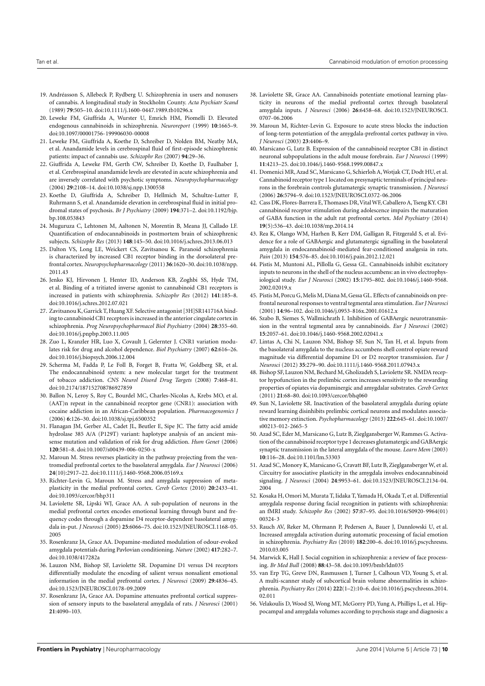- <span id="page-9-0"></span>19. Andréasson S, Allebeck P, Rydberg U. Schizophrenia in users and nonusers of cannabis. A longitudinal study in Stockholm County. *Acta Psychiatr Scand* (1989) **79**:505–10. doi[:10.1111/j.1600-0447.1989.tb10296.x](http://dx.doi.org/10.1111/j.1600-0447.1989.tb10296.x)
- <span id="page-9-1"></span>20. Leweke FM, Giuffrida A, Wurster U, Emrich HM, Piomelli D. Elevated endogenous cannabinoids in schizophrenia. *Neuroreport* (1999) **10**:1665–9. doi[:10.1097/00001756-199906030-00008](http://dx.doi.org/10.1097/00001756-199906030-00008)
- 21. Leweke FM, Giuffrida A, Koethe D, Schreiber D, Nolden BM, Neatby MA, et al. Anandamide levels in cerebrospinal fluid of first-episode schizophrenic patients: impact of cannabis use. *Schizophr Res* (2007) **94**:29–36.
- 22. Giuffrida A, Leweke FM, Gerth CW, Schreiber D, Koethe D, Faulhaber J, et al. Cerebrospinal anandamide levels are elevated in acute schizophrenia and are inversely correlated with psychotic symptoms. *Neuropsychopharmacology* (2004) **29**:2108–14. doi[:10.1038/sj.npp.1300558](http://dx.doi.org/10.1038/sj.npp.1300558)
- <span id="page-9-2"></span>23. Koethe D, Giuffrida A, Schreiber D, Hellmich M, Schultze-Lutter F, Ruhrmann S, et al. Anandamide elevation in cerebrospinal fluid in initial prodromal states of psychosis. *Br J Psychiatry* (2009) **194**:371–2. doi[:10.1192/bjp.](http://dx.doi.org/10.1192/bjp.bp.108.053843) [bp.108.053843](http://dx.doi.org/10.1192/bjp.bp.108.053843)
- <span id="page-9-3"></span>24. Muguruza C, Lehtonen M, Aaltonen N, Morentin B, Meana JJ, Callado LF. Quantification of endocannabinoids in postmortem brain of schizophrenic subjects. *Schizophr Res* (2013) **148**:145–50. doi[:10.1016/j.schres.2013.06.013](http://dx.doi.org/10.1016/j.schres.2013.06.013)
- <span id="page-9-4"></span>25. Dalton VS, Long LE, Weickert CS, Zavitsanou K. Paranoid schizophrenia is characterized by increased CB1 receptor binding in the dorsolateral prefrontal cortex. *Neuropsychopharmacology* (2011) **36**:1620–30. doi[:10.1038/npp.](http://dx.doi.org/10.1038/npp.2011.43) [2011.43](http://dx.doi.org/10.1038/npp.2011.43)
- <span id="page-9-5"></span>26. Jenko KJ, Hirvonen J, Henter ID, Anderson KB, Zoghbi SS, Hyde TM, et al. Binding of a tritiated inverse agonist to cannabinoid CB1 receptors is increased in patients with schizophrenia. *Schizophr Res* (2012) **141**:185–8. doi[:10.1016/j.schres.2012.07.021](http://dx.doi.org/10.1016/j.schres.2012.07.021)
- <span id="page-9-6"></span>27. Zavitsanou K, Garrick T, Huang XF. Selective antagonist [3H]SR141716A binding to cannabinoid CB1 receptors is increased in the anterior cingulate cortex in schizophrenia. *Prog Neuropsychopharmacol Biol Psychiatry* (2004) **28**:355–60. doi[:10.1016/j.pnpbp.2003.11.005](http://dx.doi.org/10.1016/j.pnpbp.2003.11.005)
- <span id="page-9-7"></span>28. Zuo L, Kranzler HR, Luo X, Covault J, Gelernter J. CNR1 variation modulates risk for drug and alcohol dependence. *Biol Psychiatry* (2007) **62**:616–26. doi[:10.1016/j.biopsych.2006.12.004](http://dx.doi.org/10.1016/j.biopsych.2006.12.004)
- <span id="page-9-8"></span>29. Scherma M, Fadda P, Le Foll B, Forget B, Fratta W, Goldberg SR, et al. The endocannabinoid system: a new molecular target for the treatment of tobacco addiction. *CNS Neurol Disord Drug Targets* (2008) **7**:468–81. doi[:10.2174/187152708786927859](http://dx.doi.org/10.2174/187152708786927859)
- <span id="page-9-9"></span>30. Ballon N, Leroy S, Roy C, Bourdel MC, Charles-Nicolas A, Krebs MO, et al. (AAT)n repeat in the cannabinoid receptor gene (CNR1): association with cocaine addiction in an African-Caribbean population. *Pharmacogenomics J* (2006) **6**:126–30. doi[:10.1038/sj.tpj.6500352](http://dx.doi.org/10.1038/sj.tpj.6500352)
- <span id="page-9-10"></span>31. Flanagan JM, Gerber AL, Cadet JL, Beutler E, Sipe JC. The fatty acid amide hydrolase 385 A/A (P129T) variant: haplotype analysis of an ancient missense mutation and validation of risk for drug addiction. *Hum Genet* (2006) **120**:581–8. doi[:10.1007/s00439-006-0250-x](http://dx.doi.org/10.1007/s00439-006-0250-x)
- <span id="page-9-11"></span>32. Maroun M. Stress reverses plasticity in the pathway projecting from the ventromedial prefrontal cortex to the basolateral amygdala. *Eur J Neurosci* (2006) **24**(10):2917–22. doi[:10.1111/j.1460-9568.2006.05169.x](http://dx.doi.org/10.1111/j.1460-9568.2006.05169.x)
- <span id="page-9-12"></span>33. Richter-Levin G, Maroun M. Stress and amygdala suppression of metaplasticity in the medial prefrontal cortex. *Cereb Cortex* (2010) **20**:2433–41. doi[:10.1093/cercor/bhp311](http://dx.doi.org/10.1093/cercor/bhp311)
- <span id="page-9-13"></span>34. Laviolette SR, Lipski WJ, Grace AA. A sub-population of neurons in the medial prefrontal cortex encodes emotional learning through burst and frequency codes through a dopamine D4 receptor-dependent basolateral amygdala in-put. *J Neurosci* (2005) **25**:6066–75. doi[:10.1523/JNEUROSCI.1168-05.](http://dx.doi.org/10.1523/JNEUROSCI.1168-05.2005) [2005](http://dx.doi.org/10.1523/JNEUROSCI.1168-05.2005)
- <span id="page-9-14"></span>35. Rosenkranz JA, Grace AA. Dopamine-mediated modulation of odour-evoked amygdala potentials during Pavlovian conditioning. *Nature* (2002) **417**:282–7. doi[:10.1038/417282a](http://dx.doi.org/10.1038/417282a)
- <span id="page-9-23"></span>36. Lauzon NM, Bishop SF, Laviolette SR. Dopamine D1 versus D4 receptors differentially modulate the encoding of salient versus nonsalient emotional information in the medial prefrontal cortex. *J Neurosci* (2009) **29**:4836–45. doi[:10.1523/JNEUROSCI.0178-09.2009](http://dx.doi.org/10.1523/JNEUROSCI.0178-09.2009)
- <span id="page-9-15"></span>37. Rosenkranz JA, Grace AA. Dopamine attenuates prefrontal cortical suppression of sensory inputs to the basolateral amygdala of rats. *J Neurosci* (2001) **21**:4090–103.
- <span id="page-9-16"></span>38. Laviolette SR, Grace AA. Cannabinoids potentiate emotional learning plasticity in neurons of the medial prefrontal cortex through basolateral amygdala inputs. *J Neurosci* (2006) **26**:6458–68. doi[:10.1523/JNEUROSCI.](http://dx.doi.org/10.1523/JNEUROSCI.0707-06.2006) [0707-06.2006](http://dx.doi.org/10.1523/JNEUROSCI.0707-06.2006)
- <span id="page-9-17"></span>39. Maroun M, Richter-Levin G. Exposure to acute stress blocks the induction of long-term potentiation of the amygdala-prefrontal cortex pathway in vivo. *J Neurosci* (2003) **23**:4406–9.
- <span id="page-9-18"></span>40. Marsicano G, Lutz B. Expression of the cannabinoid receptor CB1 in distinct neuronal subpopulations in the adult mouse forebrain. *Eur J Neurosci* (1999) **11**:4213–25. doi[:10.1046/j.1460-9568.1999.00847.x](http://dx.doi.org/10.1046/j.1460-9568.1999.00847.x)
- 41. Domenici MR, Azad SC, Marsicano G, Schierloh A,Wotjak CT, Dodt HU, et al. Cannabinoid receptor type 1 located on presynaptic terminals of principal neurons in the forebrain controls glutamatergic synaptic transmission. *J Neurosci* (2006) **26**:5794–9. doi[:10.1523/JNEUROSCI.0372-06.2006](http://dx.doi.org/10.1523/JNEUROSCI.0372-06.2006)
- 42. Cass DK, Flores-Barrera E, Thomases DR,VitalWF, Caballero A, Tseng KY. CB1 cannabinoid receptor stimulation during adolescence impairs the maturation of GABA function in the adult rat prefrontal cortex. *Mol Psychiatry* (2014) **19**(5):536–43. doi[:10.1038/mp.2014.14](http://dx.doi.org/10.1038/mp.2014.14)
- <span id="page-9-19"></span>43. Rea K, Olango WM, Harhen B, Kerr DM, Galligan R, Fitzgerald S, et al. Evidence for a role of GABAergic and glutamatergic signalling in the basolateral amygdala in endocannabinoid-mediated fear-conditioned analgesia in rats. *Pain* (2013) **154**:576–85. doi[:10.1016/j.pain.2012.12.021](http://dx.doi.org/10.1016/j.pain.2012.12.021)
- <span id="page-9-20"></span>44. Pistis M, Muntoni AL, Pillolla G, Gessa GL. Cannabinoids inhibit excitatory inputs to neurons in the shell of the nucleus accumbens: an in vivo electrophysiological study. *Eur J Neurosci* (2002) **15**:1795–802. doi[:10.1046/j.1460-9568.](http://dx.doi.org/10.1046/j.1460-9568.2002.02019.x) [2002.02019.x](http://dx.doi.org/10.1046/j.1460-9568.2002.02019.x)
- <span id="page-9-21"></span>45. Pistis M, Porcu G,Melis M, Diana M, Gessa GL. Effects of cannabinoids on prefrontal neuronal responses to ventral tegmental area stimulation. *Eur J Neurosci* (2001) **14**:96–102. doi[:10.1046/j.0953-816x.2001.01612.x](http://dx.doi.org/10.1046/j.0953-816x.2001.01612.x)
- <span id="page-9-22"></span>46. Szabo B, Siemes S, Wallmichrath I. Inhibition of GABAergic neurotransmission in the ventral tegmental area by cannabinoids. *Eur J Neurosci* (2002) **15**:2057–61. doi[:10.1046/j.1460-9568.2002.02041.x](http://dx.doi.org/10.1046/j.1460-9568.2002.02041.x)
- <span id="page-9-24"></span>47. Lintas A, Chi N, Lauzon NM, Bishop SF, Sun N, Tan H, et al. Inputs from the basolateral amygdala to the nucleus accumbens shell control opiate reward magnitude via differential dopamine D1 or D2 receptor transmission. *Eur J Neurosci* (2012) **35**:279–90. doi[:10.1111/j.1460-9568.2011.07943.x](http://dx.doi.org/10.1111/j.1460-9568.2011.07943.x)
- <span id="page-9-32"></span>48. Bishop SF, Lauzon NM, Bechard M, Gholizadeh S, Laviolette SR. NMDA receptor hypofunction in the prelimbic cortex increases sensitivity to the rewarding properties of opiates via dopaminergic and amygdalar substrates. *Cereb Cortex* (2011) **21**:68–80. doi[:10.1093/cercor/bhq060](http://dx.doi.org/10.1093/cercor/bhq060)
- <span id="page-9-25"></span>49. Sun N, Laviolette SR. Inactivation of the basolateral amygdala during opiate reward learning disinhibits prelimbic cortical neurons and modulates associative memory extinction. *Psychopharmacology* (2013) **222**:645–61. doi[:10.1007/](http://dx.doi.org/10.1007/s00213-012-2665-5) [s00213-012-2665-5](http://dx.doi.org/10.1007/s00213-012-2665-5)
- <span id="page-9-26"></span>50. Azad SC, Eder M, Marsicano G, Lutz B, Zieglgansberger W, Rammes G. Activation of the cannabinoid receptor type 1 decreases glutamatergic and GABAergic synaptic transmission in the lateral amygdala of the mouse. *Learn Mem* (2003) **10**:116–28. doi[:10.1101/lm.53303](http://dx.doi.org/10.1101/lm.53303)
- <span id="page-9-27"></span>51. Azad SC, Monory K, Marsicano G, Cravatt BF, Lutz B, Zieglgansberger W, et al. Circuitry for associative plasticity in the amygdala involves endocannabinoid signaling. *J Neurosci* (2004) **24**:9953–61. doi[:10.1523/JNEUROSCI.2134-04.](http://dx.doi.org/10.1523/JNEUROSCI.2134-04.2004) [2004](http://dx.doi.org/10.1523/JNEUROSCI.2134-04.2004)
- <span id="page-9-28"></span>52. Kosaka H, Omori M, Murata T, Iidaka T, Yamada H, Okada T, et al. Differential amygdala response during facial recognition in patients with schizophrenia: an fMRI study. *Schizophr Res* (2002) **57**:87–95. doi[:10.1016/S0920-9964\(01\)](http://dx.doi.org/10.1016/S0920-9964(01)00324-3) [00324-3](http://dx.doi.org/10.1016/S0920-9964(01)00324-3)
- 53. Rauch AV, Reker M, Ohrmann P, Pedersen A, Bauer J, Dannlowski U, et al. Increased amygdala activation during automatic processing of facial emotion in schizophrenia. *Psychiatry Res* (2010) **182**:200–6. doi[:10.1016/j.pscychresns.](http://dx.doi.org/10.1016/j.pscychresns.2010.03.005) [2010.03.005](http://dx.doi.org/10.1016/j.pscychresns.2010.03.005)
- <span id="page-9-29"></span>54. Marwick K, Hall J. Social cognition in schizophrenia: a review of face processing. *Br Med Bull* (2008) **88**:43–58. doi[:10.1093/bmb/ldn035](http://dx.doi.org/10.1093/bmb/ldn035)
- <span id="page-9-30"></span>55. van Erp TG, Greve DN, Rasmussen J, Turner J, Calhoun VD, Young S, et al. A multi-scanner study of subcortical brain volume abnormalities in schizophrenia. *Psychiatry Res* (2014) **222**(1–2):10–6. doi[:10.1016/j.pscychresns.2014.](http://dx.doi.org/10.1016/j.pscychresns.2014.02.011) [02.011](http://dx.doi.org/10.1016/j.pscychresns.2014.02.011)
- <span id="page-9-31"></span>56. Velakoulis D, Wood SJ, Wong MT, McGorry PD, Yung A, Phillips L, et al. Hippocampal and amygdala volumes according to psychosis stage and diagnosis: a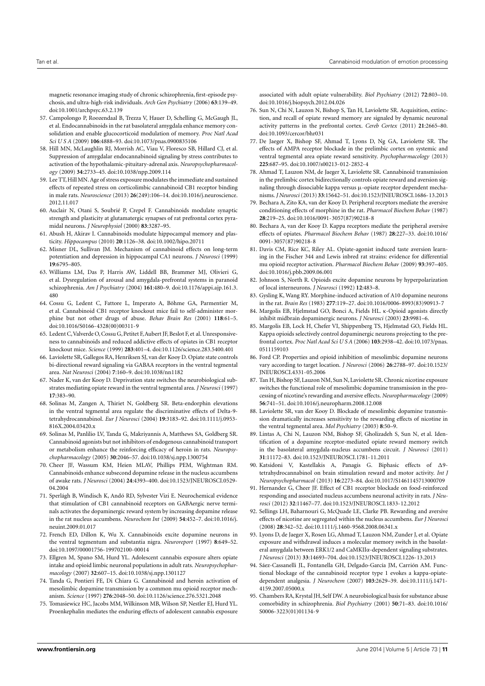magnetic resonance imaging study of chronic schizophrenia, first-episode psychosis, and ultra-high-risk individuals. *Arch Gen Psychiatry* (2006) **63**:139–49. doi[:10.1001/archpsyc.63.2.139](http://dx.doi.org/10.1001/archpsyc.63.2.139)

- <span id="page-10-0"></span>57. Campolongo P, Roozendaal B, Trezza V, Hauer D, Schelling G, McGaugh JL, et al. Endocannabinoids in the rat basolateral amygdala enhance memory consolidation and enable glucocorticoid modulation of memory. *Proc Natl Acad Sci U S A* (2009) **106**:4888–93. doi[:10.1073/pnas.0900835106](http://dx.doi.org/10.1073/pnas.0900835106)
- <span id="page-10-1"></span>58. Hill MN, McLaughlin RJ, Morrish AC, Viau V, Floresco SB, Hillard CJ, et al. Suppression of amygdalar endocannabinoid signaling by stress contributes to activation of the hypothalamic-pituitary-adrenal axis. *Neuropsychopharmacology* (2009) **34**:2733–45. doi[:10.1038/npp.2009.114](http://dx.doi.org/10.1038/npp.2009.114)
- <span id="page-10-2"></span>59. Lee TT,Hill MN. Age of stress exposure modulates the immediate and sustained effects of repeated stress on corticolimbic cannabinoid CB1 receptor binding in male rats. *Neuroscience* (2013) **26**(249):106–14. doi[:10.1016/j.neuroscience.](http://dx.doi.org/10.1016/j.neuroscience.2012.11.017) [2012.11.017](http://dx.doi.org/10.1016/j.neuroscience.2012.11.017)
- <span id="page-10-3"></span>60. Auclair N, Otani S, Soubrié P, Crepel F. Cannabinoids modulate synaptic strength and plasticity at glutamatergic synapses of rat prefrontal cortex pyramidal neurons. *J Neurophysiol* (2000) **83**:3287–95.
- <span id="page-10-4"></span>61. Abush H, Akirav I. Cannabinoids modulate hippocampal memory and plasticity. *Hippocampus* (2010) **20**:1126–38. doi[:10.1002/hipo.20711](http://dx.doi.org/10.1002/hipo.20711)
- <span id="page-10-5"></span>62. Misner DL, Sullivan JM. Mechanism of cannabinoid effects on long-term potentiation and depression in hippocampal CA1 neurons. *J Neurosci* (1999) **19**:6795–805.
- <span id="page-10-6"></span>63. Williams LM, Das P, Harris AW, Liddell BB, Brammer MJ, Olivieri G, et al. Dysregulation of arousal and amygdala-prefrontal systems in paranoid schizophrenia. *Am J Psychiatry* (2004) **161**:480–9. doi[:10.1176/appi.ajp.161.3.](http://dx.doi.org/10.1176/appi.ajp.161.3.480) [480](http://dx.doi.org/10.1176/appi.ajp.161.3.480)
- <span id="page-10-7"></span>64. Cossu G, Ledent C, Fattore L, Imperato A, Böhme GA, Parmentier M, et al. Cannabinoid CB1 receptor knockout mice fail to self-administer morphine but not other drugs of abuse. *Behav Brain Res* (2001) **118**:61–5. doi[:10.1016/S0166-4328\(00\)00311-9](http://dx.doi.org/10.1016/S0166-4328(00)00311-9)
- <span id="page-10-8"></span>65. Ledent C,Valverde O, Cossu G, Petitet F,Aubert JF, Beslot F, et al. Unresponsiveness to cannabinoids and reduced addictive effects of opiates in CB1 receptor knockout mice. *Science* (1999) **283**:401–4. doi[:10.1126/science.283.5400.401](http://dx.doi.org/10.1126/science.283.5400.401)
- <span id="page-10-9"></span>66. Laviolette SR, Gallegos RA, Henriksen SJ, van der Kooy D. Opiate state controls bi-directional reward signaling via GABAA receptors in the ventral tegmental area. *Nat Neurosci* (2004) **7**:160–9. doi[:10.1038/nn1182](http://dx.doi.org/10.1038/nn1182)
- <span id="page-10-10"></span>67. Nader K, van der Kooy D. Deprivation state switches the neurobiological substrates mediating opiate reward in the ventral tegmental area. *J Neurosci* (1997) **17**:383–90.
- <span id="page-10-11"></span>68. Solinas M, Zangen A, Thiriet N, Goldberg SR. Beta-endorphin elevations in the ventral tegmental area regulate the discriminative effects of Delta-9 tetrahydrocannabinol. *Eur J Neurosci* (2004) **19**:3183–92. doi[:10.1111/j.0953-](http://dx.doi.org/10.1111/j.0953-816X.2004.03420.x) [816X.2004.03420.x](http://dx.doi.org/10.1111/j.0953-816X.2004.03420.x)
- <span id="page-10-12"></span>69. Solinas M, Panlilio LV, Tanda G, Makriyannis A, Matthews SA, Goldberg SR. Cannabinoid agonists but not inhibitors of endogenous cannabinoid transport or metabolism enhance the reinforcing efficacy of heroin in rats. *Neuropsychopharmacology* (2005) **30**:2046–57. doi[:10.1038/sj.npp.1300754](http://dx.doi.org/10.1038/sj.npp.1300754)
- <span id="page-10-13"></span>70. Cheer JF, Wassum KM, Heien MLAV, Phillips PEM, Wightman RM. Cannabinoids enhance subsecond dopamine release in the nucleus accumbens of awake rats. *J Neurosci* (2004) **24**:4393–400. doi[:10.1523/JNEUROSCI.0529-](http://dx.doi.org/10.1523/JNEUROSCI.0529-04.2004) [04.2004](http://dx.doi.org/10.1523/JNEUROSCI.0529-04.2004)
- <span id="page-10-14"></span>71. Sperlágh B, Windisch K, Andó RD, Sylvester Vizi E. Neurochemical evidence that stimulation of CB1 cannabinoid receptors on GABAergic nerve terminals activates the dopaminergic reward system by increasing dopamine release in the rat nucleus accumbens. *Neurochem Int* (2009) **54**:452–7. doi[:10.1016/j.](http://dx.doi.org/10.1016/j.neuint.2009.01.017) [neuint.2009.01.017](http://dx.doi.org/10.1016/j.neuint.2009.01.017)
- <span id="page-10-15"></span>72. French ED, Dillon K, Wu X. Cannabinoids excite dopamine neurons in the ventral tegmentum and substantia nigra. *Neuroreport* (1997) **8**:649–52. doi[:10.1097/00001756-199702100-00014](http://dx.doi.org/10.1097/00001756-199702100-00014)
- <span id="page-10-16"></span>73. Ellgren M, Spano SM, Hurd YL. Adolescent cannabis exposure alters opiate intake and opioid limbic neuronal populations in adult rats. *Neuropsychopharmacology* (2007) **32**:607–15. doi[:10.1038/sj.npp.1301127](http://dx.doi.org/10.1038/sj.npp.1301127)
- <span id="page-10-17"></span>74. Tanda G, Pontieri FE, Di Chiara G. Cannabinoid and heroin activation of mesolimbic dopamine transmission by a common mu opioid receptor mechanism. *Science* (1997) **276**:2048–50. doi[:10.1126/science.276.5321.2048](http://dx.doi.org/10.1126/science.276.5321.2048)
- <span id="page-10-18"></span>75. Tomasiewicz HC, Jacobs MM, Wilkinson MB, Wilson SP, Nestler EJ, Hurd YL. Proenkephalin mediates the enduring effects of adolescent cannabis exposure

associated with adult opiate vulnerability. *Biol Psychiatry* (2012) **72**:803–10. doi[:10.1016/j.biopsych.2012.04.026](http://dx.doi.org/10.1016/j.biopsych.2012.04.026)

- <span id="page-10-19"></span>76. Sun N, Chi N, Lauzon N, Bishop S, Tan H, Laviolette SR. Acquisition, extinction, and recall of opiate reward memory are signaled by dynamic neuronal activity patterns in the prefrontal cortex. *Cereb Cortex* (2011) **21**:2665–80. doi[:10.1093/cercor/bhr031](http://dx.doi.org/10.1093/cercor/bhr031)
- <span id="page-10-20"></span>77. De Jaeger X, Bishop SF, Ahmad T, Lyons D, Ng GA, Laviolette SR. The effects of AMPA receptor blockade in the prelimbic cortex on systemic and ventral tegmental area opiate reward sensitivity. *Psychopharmacology* (2013) **225**:687–95. doi[:10.1007/s00213-012-2852-4](http://dx.doi.org/10.1007/s00213-012-2852-4)
- <span id="page-10-21"></span>78. Ahmad T, Lauzon NM, de Jaeger X, Laviolette SR. Cannabinoid transmission in the prelimbic cortex bidirectionally controls opiate reward and aversion signaling through dissociable kappa versus µ-opiate receptor dependent mechanisms.*J Neurosci* (2013) **33**:15642–51. doi[:10.1523/JNEUROSCI.1686-13.2013](http://dx.doi.org/10.1523/JNEUROSCI.1686-13.2013)
- <span id="page-10-22"></span>79. Bechara A, Zito KA, van der Kooy D. Peripheral receptors mediate the aversive conditioning effects of morphine in the rat. *Pharmacol Biochem Behav* (1987) **28**:219–25. doi[:10.1016/0091-3057\(87\)90218-8](http://dx.doi.org/10.1016/0091-3057(87)90218-8)
- <span id="page-10-23"></span>80. Bechara A, van der Kooy D. Kappa receptors mediate the peripheral aversive effects of opiates. *Pharmacol Biochem Behav* (1987) **28**:227–33. doi[:10.1016/](http://dx.doi.org/10.1016/0091-3057(87)90218-8) [0091-3057\(87\)90218-8](http://dx.doi.org/10.1016/0091-3057(87)90218-8)
- <span id="page-10-24"></span>81. Davis CM, Rice KC, Riley AL. Opiate-agonist induced taste aversion learning in the Fischer 344 and Lewis inbred rat strains: evidence for differential mu opioid receptor activation. *Pharmacol Biochem Behav* (2009) **93**:397–405. doi[:10.1016/j.pbb.2009.06.001](http://dx.doi.org/10.1016/j.pbb.2009.06.001)
- <span id="page-10-25"></span>82. Johnson S, North R. Opioids excite dopamine neurons by hyperpolarization of local interneurons. *J Neurosci* (1992) **12**:483–8.
- <span id="page-10-26"></span>83. Gysling K, Wang RY. Morphine-induced activation of A10 dopamine neurons in the rat. *Brain Res* (1983) **277**:119–27. doi[:10.1016/0006-8993\(83\)90913-7](http://dx.doi.org/10.1016/0006-8993(83)90913-7)
- <span id="page-10-27"></span>84. Margolis EB, Hjelmstad GO, Bonci A, Fields HL. κ-Opioid agonists directly inhibit midbrain dopaminergic neurons. *J Neurosci* (2003) **23**:9981–6.
- <span id="page-10-28"></span>85. Margolis EB, Lock H, Chefer VI, Shippenberg TS, Hjelmstad GO, Fields HL. Kappa opioids selectively control dopaminergic neurons projecting to the prefrontal cortex. *Proc Natl Acad Sci U S A* (2006) **103**:2938–42. doi[:10.1073/pnas.](http://dx.doi.org/10.1073/pnas.0511159103) [0511159103](http://dx.doi.org/10.1073/pnas.0511159103)
- <span id="page-10-29"></span>86. Ford CP. Properties and opioid inhibition of mesolimbic dopamine neurons vary according to target location. *J Neurosci* (2006) **26**:2788–97. doi[:10.1523/](http://dx.doi.org/10.1523/JNEUROSCI.4331-05.2006) [JNEUROSCI.4331-05.2006](http://dx.doi.org/10.1523/JNEUROSCI.4331-05.2006)
- <span id="page-10-30"></span>87. Tan H, Bishop SF, Lauzon NM, Sun N, Laviolette SR. Chronic nicotine exposure switches the functional role of mesolimbic dopamine transmission in the processing of nicotine's rewarding and aversive effects. *Neuropharmacology* (2009) **56**:741–51. doi[:10.1016/j.neuropharm.2008.12.008](http://dx.doi.org/10.1016/j.neuropharm.2008.12.008)
- <span id="page-10-31"></span>88. Laviolette SR, van der Kooy D. Blockade of mesolimbic dopamine transmission dramatically increases sensitivity to the rewarding effects of nicotine in the ventral tegmental area. *Mol Psychiatry* (2003) **8**:50–9.
- <span id="page-10-32"></span>89. Lintas A, Chi N, Lauzon NM, Bishop SF, Gholizadeh S, Sun N, et al. Identification of a dopamine receptor-mediated opiate reward memory switch in the basolateral amygdala-nucleus accumbens circuit. *J Neurosci* (2011) **31**:11172–83. doi[:10.1523/JNEUROSCI.1781-11.2011](http://dx.doi.org/10.1523/JNEUROSCI.1781-11.2011)
- <span id="page-10-33"></span>90. Katsidoni V, Kastellakis A, Panagis G. Biphasic effects of ∆9 tetrahydrocannabinol on brain stimulation reward and motor activity. *Int J Neuropsychopharmacol* (2013) **16**:2273–84. doi[:10.1017/S1461145713000709](http://dx.doi.org/10.1017/S1461145713000709)
- <span id="page-10-34"></span>91. Hernandez G, Cheer JF. Effect of CB1 receptor blockade on food-reinforced responding and associated nucleus accumbens neuronal activity in rats. *J Neurosci* (2012) **32**:11467–77. doi[:10.1523/JNEUROSCI.1833-12.2012](http://dx.doi.org/10.1523/JNEUROSCI.1833-12.2012)
- <span id="page-10-35"></span>92. Sellings LH, Baharnouri G, McQuade LE, Clarke PB. Rewarding and aversive effects of nicotine are segregated within the nucleus accumbens. *Eur J Neurosci* (2008) **28**:342–52. doi[:10.1111/j.1460-9568.2008.06341.x](http://dx.doi.org/10.1111/j.1460-9568.2008.06341.x)
- <span id="page-10-36"></span>93. Lyons D, de Jaeger X, Rosen LG, Ahmad T, Lauzon NM, Zunder J, et al. Opiate exposure and withdrawal induces a molecular memory switch in the basolateral amygdala between ERK1/2 and CaMKIIα-dependent signaling substrates. *J Neurosci* (2013) **33**:14693–704. doi[:10.1523/JNEUROSCI.1226-13.2013](http://dx.doi.org/10.1523/JNEUROSCI.1226-13.2013)
- <span id="page-10-37"></span>94. Sáez-Cassanelli JL, Fontanella GH, Delgado-García JM, Carrión AM. Functional blockage of the cannabinoid receptor type 1 evokes a kappa-opiatedependent analgesia. *J Neurochem* (2007) **103**:2629–39. doi[:10.1111/j.1471-](http://dx.doi.org/10.1111/j.1471-4159.2007.05000.x) [4159.2007.05000.x](http://dx.doi.org/10.1111/j.1471-4159.2007.05000.x)
- <span id="page-10-38"></span>95. Chambers RA, Krystal JH, Self DW. A neurobiological basis for substance abuse comorbidity in schizophrenia. *Biol Psychiatry* (2001) **50**:71–83. doi[:10.1016/](http://dx.doi.org/10.1016/S0006-3223(01)01134-9) [S0006-3223\(01\)01134-9](http://dx.doi.org/10.1016/S0006-3223(01)01134-9)